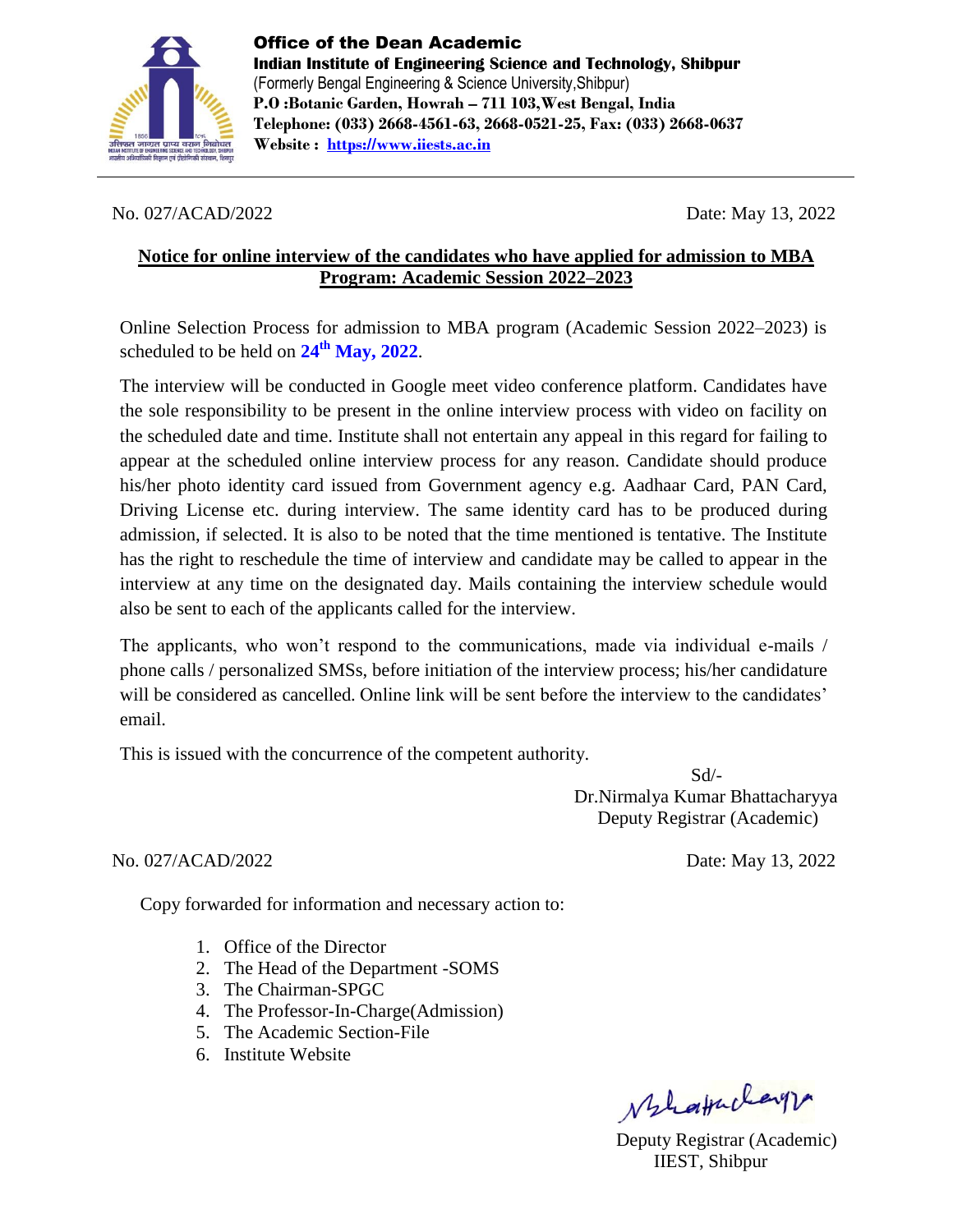

#### No. 027/ACAD/2022 Date: May 13, 2022

### **Notice for online interview of the candidates who have applied for admission to MBA Program: Academic Session 2022–2023**

Online Selection Process for admission to MBA program (Academic Session 2022–2023) is scheduled to be held on **24th May, 2022**.

The interview will be conducted in Google meet video conference platform. Candidates have the sole responsibility to be present in the online interview process with video on facility on the scheduled date and time. Institute shall not entertain any appeal in this regard for failing to appear at the scheduled online interview process for any reason. Candidate should produce his/her photo identity card issued from Government agency e.g. Aadhaar Card, PAN Card, Driving License etc. during interview. The same identity card has to be produced during admission, if selected. It is also to be noted that the time mentioned is tentative. The Institute has the right to reschedule the time of interview and candidate may be called to appear in the interview at any time on the designated day. Mails containing the interview schedule would also be sent to each of the applicants called for the interview.

The applicants, who won't respond to the communications, made via individual e-mails / phone calls / personalized SMSs, before initiation of the interview process; his/her candidature will be considered as cancelled. Online link will be sent before the interview to the candidates' email.

This is issued with the concurrence of the competent authority.

 Sd/- Dr.Nirmalya Kumar Bhattacharyya Deputy Registrar (Academic)

#### No. 027/ACAD/2022 Date: May 13, 2022

Copy forwarded for information and necessary action to:

- 1. Office of the Director
- 2. The Head of the Department -SOMS
- 3. The Chairman-SPGC
- 4. The Professor-In-Charge(Admission)
- 5. The Academic Section-File
- 6. Institute Website

MlaHuleyr

Deputy Registrar (Academic) IIEST, Shibpur